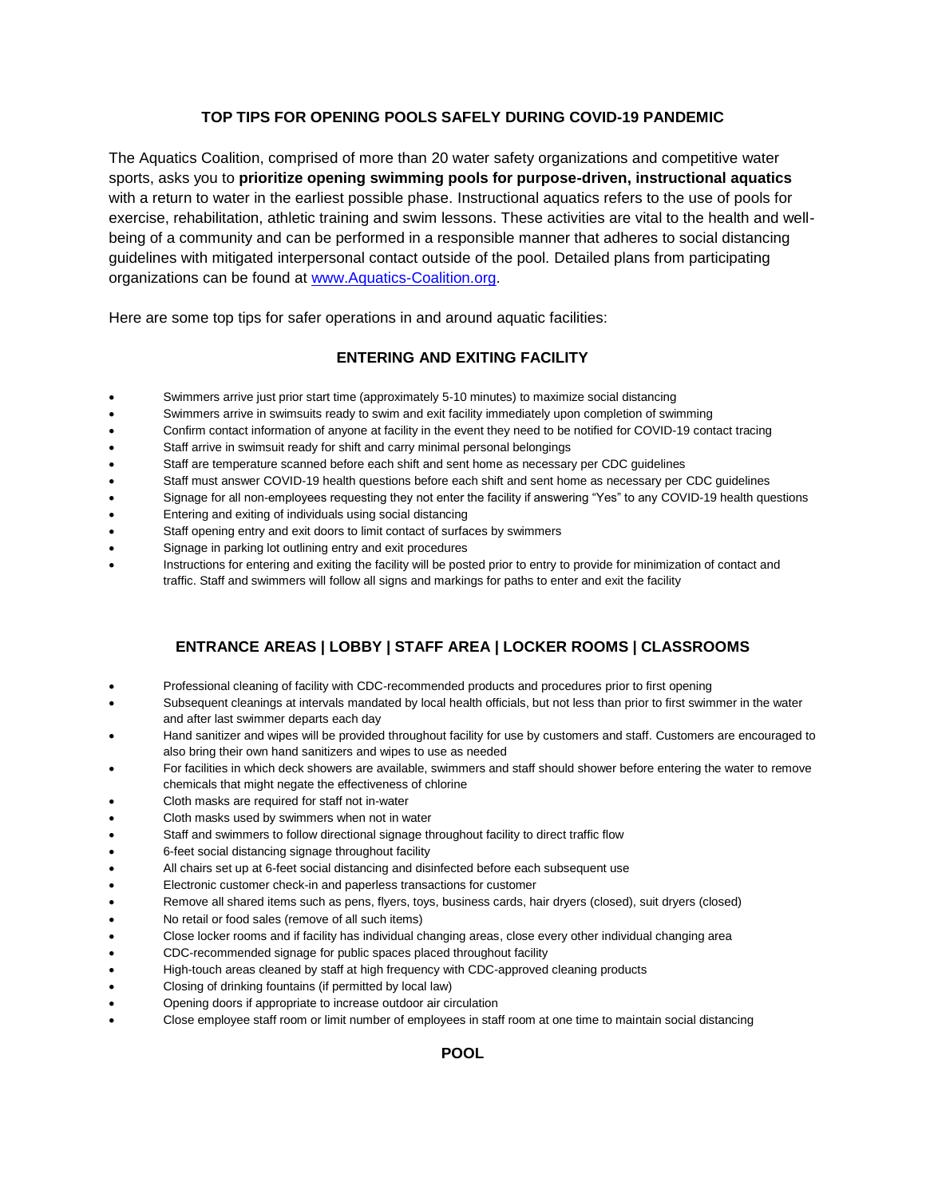## **TOP TIPS FOR OPENING POOLS SAFELY DURING COVID-19 PANDEMIC**

The Aquatics Coalition, comprised of more than 20 water safety organizations and competitive water sports, asks you to **prioritize opening swimming pools for purpose-driven, instructional aquatics**  with a return to water in the earliest possible phase. Instructional aquatics refers to the use of pools for exercise, rehabilitation, athletic training and swim lessons. These activities are vital to the health and wellbeing of a community and can be performed in a responsible manner that adheres to social distancing guidelines with mitigated interpersonal contact outside of the pool. Detailed plans from participating organizations can be found at www.Aquatics-Coalition.org.

Here are some top tips for safer operations in and around aquatic facilities:

## **ENTERING AND EXITING FACILITY**

- Swimmers arrive just prior start time (approximately 5-10 minutes) to maximize social distancing
- Swimmers arrive in swimsuits ready to swim and exit facility immediately upon completion of swimming
- Confirm contact information of anyone at facility in the event they need to be notified for COVID-19 contact tracing
- Staff arrive in swimsuit ready for shift and carry minimal personal belongings
- Staff are temperature scanned before each shift and sent home as necessary per CDC guidelines
- Staff must answer COVID-19 health questions before each shift and sent home as necessary per CDC guidelines
- Signage for all non-employees requesting they not enter the facility if answering "Yes" to any COVID-19 health questions
- Entering and exiting of individuals using social distancing
- Staff opening entry and exit doors to limit contact of surfaces by swimmers
- Signage in parking lot outlining entry and exit procedures
- Instructions for entering and exiting the facility will be posted prior to entry to provide for minimization of contact and traffic. Staff and swimmers will follow all signs and markings for paths to enter and exit the facility

## **ENTRANCE AREAS | LOBBY | STAFF AREA | LOCKER ROOMS | CLASSROOMS**

- Professional cleaning of facility with CDC-recommended products and procedures prior to first opening
- Subsequent cleanings at intervals mandated by local health officials, but not less than prior to first swimmer in the water and after last swimmer departs each day
- Hand sanitizer and wipes will be provided throughout facility for use by customers and staff. Customers are encouraged to also bring their own hand sanitizers and wipes to use as needed
- For facilities in which deck showers are available, swimmers and staff should shower before entering the water to remove chemicals that might negate the effectiveness of chlorine
- Cloth masks are required for staff not in-water
- Cloth masks used by swimmers when not in water
- Staff and swimmers to follow directional signage throughout facility to direct traffic flow
- 6-feet social distancing signage throughout facility
- All chairs set up at 6-feet social distancing and disinfected before each subsequent use
- Electronic customer check-in and paperless transactions for customer
- Remove all shared items such as pens, flyers, toys, business cards, hair dryers (closed), suit dryers (closed)
- No retail or food sales (remove of all such items)
- Close locker rooms and if facility has individual changing areas, close every other individual changing area
- CDC-recommended signage for public spaces placed throughout facility
- High-touch areas cleaned by staff at high frequency with CDC-approved cleaning products
- Closing of drinking fountains (if permitted by local law)
- Opening doors if appropriate to increase outdoor air circulation
- Close employee staff room or limit number of employees in staff room at one time to maintain social distancing

**POOL**